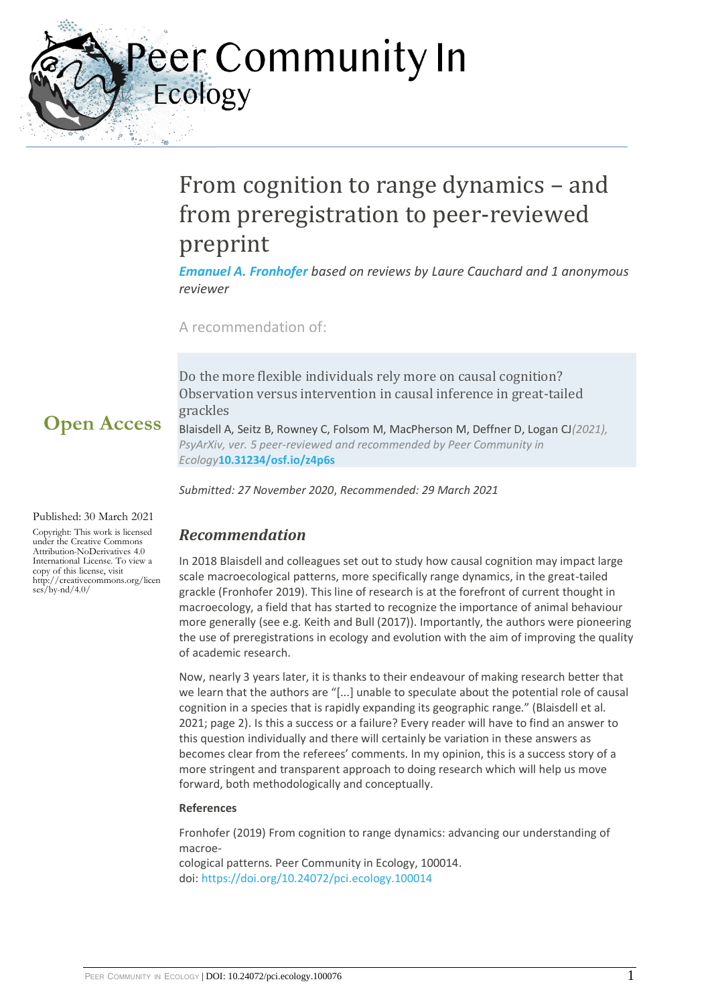Peer Community In Ecology

# From cognition to range dynamics – and from preregistration to peer-reviewed preprint

*[Emanuel A. Fronhofer](https://ecology.peercommunityin.org/public/user_public_page?userId=36) based on reviews by Laure Cauchard and 1 anonymous reviewer*

A recommendation of:

Do the more flexible individuals rely more on causal cognition? Observation versus intervention in causal inference in great-tailed grackles

*PsyArXiv, ver. 5 peer-reviewed and recommended by Peer Community in* 

*Submitted: 27 November 2020*, *Recommended: 29 March 2021*

Blaisdell A, Seitz B, Rowney C, Folsom M, MacPherson M, Deffner D, Logan CJ*(2021),* 

**Open Access**

Published: 30 March 2021

Copyright: This work is licensed under the Creative Commons Attribution-NoDerivatives 4.0 International License. To view a copy of this license, visit http://creativecommons.org/licen  $ses/bv-nd/4.0/$ 

## *Recommendation*

*Ecology***[10.31234/osf.io/z4p6s](https://doi.org/10.31234/osf.io/z4p6s)**

In 2018 Blaisdell and colleagues set out to study how causal cognition may impact large scale macroecological patterns, more specifically range dynamics, in the great-tailed grackle (Fronhofer 2019). This line of research is at the forefront of current thought in macroecology, a field that has started to recognize the importance of animal behaviour more generally (see e.g. Keith and Bull (2017)). Importantly, the authors were pioneering the use of preregistrations in ecology and evolution with the aim of improving the quality of academic research.

Now, nearly 3 years later, it is thanks to their endeavour of making research better that we learn that the authors are "[...] unable to speculate about the potential role of causal cognition in a species that is rapidly expanding its geographic range." (Blaisdell et al. 2021; page 2). Is this a success or a failure? Every reader will have to find an answer to this question individually and there will certainly be variation in these answers as becomes clear from the referees' comments. In my opinion, this is a success story of a more stringent and transparent approach to doing research which will help us move forward, both methodologically and conceptually.

#### **References**

Fronhofer (2019) From cognition to range dynamics: advancing our understanding of macroe-

cological patterns. Peer Community in Ecology, 100014. doi: <https://doi.org/10.24072/pci.ecology.100014>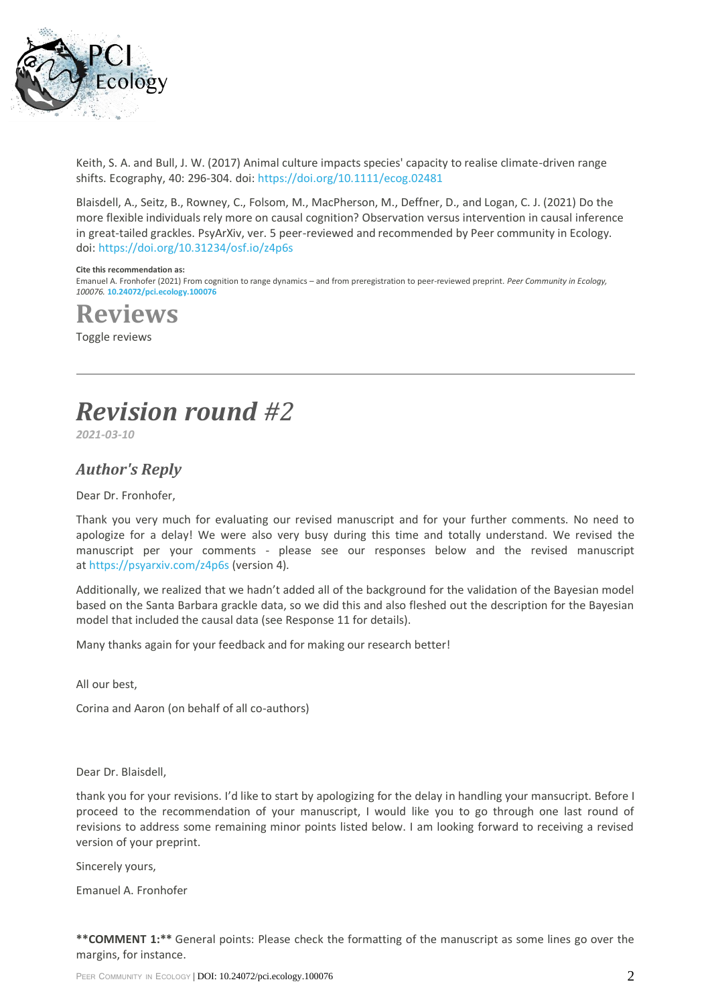

Keith, S. A. and Bull, J. W. (2017) Animal culture impacts species' capacity to realise climate-driven range shifts. Ecography, 40: 296-304. doi: <https://doi.org/10.1111/ecog.02481>

Blaisdell, A., Seitz, B., Rowney, C., Folsom, M., MacPherson, M., Deffner, D., and Logan, C. J. (2021) Do the more flexible individuals rely more on causal cognition? Observation versus intervention in causal inference in great-tailed grackles. PsyArXiv, ver. 5 peer-reviewed and recommended by Peer community in Ecology. doi: <https://doi.org/10.31234/osf.io/z4p6s>

#### **Cite this recommendation as:**

Emanuel A. Fronhofer (2021) From cognition to range dynamics – and from preregistration to peer-reviewed preprint. *Peer Community in Ecology, 100076.* **[10.24072/pci.ecology.100076](https://doi.org/10.24072/pci.ecology.100076)**

**Reviews**

Toggle reviews

# *Revision round #2*

*2021-03-10*

### *Author's Reply*

Dear Dr. Fronhofer,

Thank you very much for evaluating our revised manuscript and for your further comments. No need to apologize for a delay! We were also very busy during this time and totally understand. We revised the manuscript per your comments - please see our responses below and the revised manuscript at <https://psyarxiv.com/z4p6s> (version 4).

Additionally, we realized that we hadn't added all of the background for the validation of the Bayesian model based on the Santa Barbara grackle data, so we did this and also fleshed out the description for the Bayesian model that included the causal data (see Response 11 for details).

Many thanks again for your feedback and for making our research better!

All our best,

Corina and Aaron (on behalf of all co-authors)

Dear Dr. Blaisdell,

thank you for your revisions. I'd like to start by apologizing for the delay in handling your mansucript. Before I proceed to the recommendation of your manuscript, I would like you to go through one last round of revisions to address some remaining minor points listed below. I am looking forward to receiving a revised version of your preprint.

Sincerely yours,

Emanuel A. Fronhofer

**\*\*COMMENT 1:\*\*** General points: Please check the formatting of the manuscript as some lines go over the margins, for instance.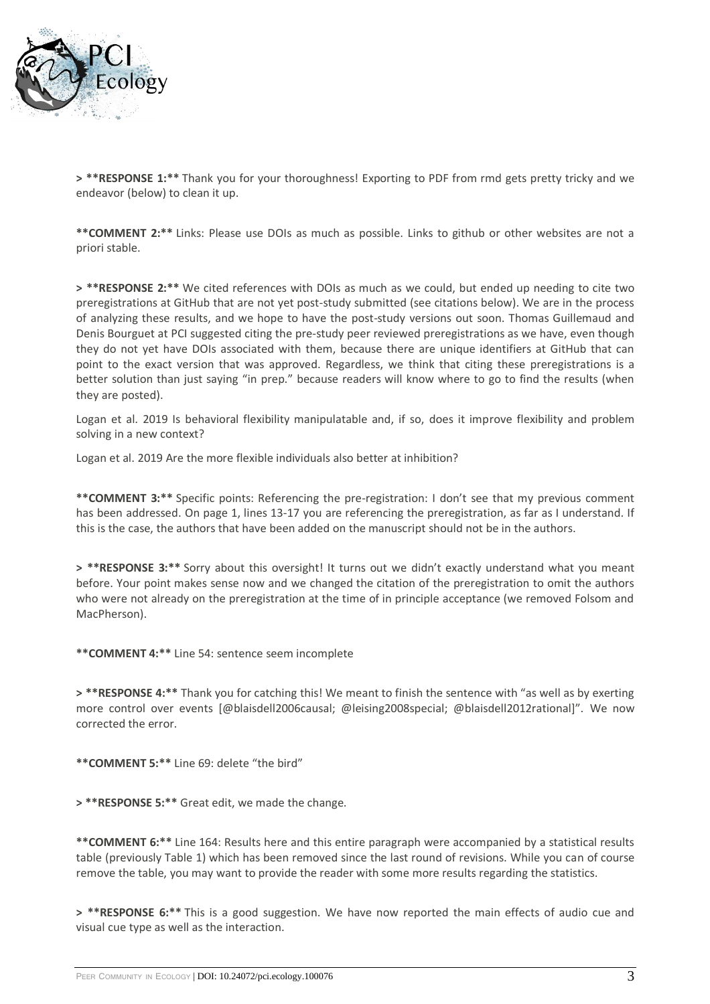

**> \*\*RESPONSE 1:\*\*** Thank you for your thoroughness! Exporting to PDF from rmd gets pretty tricky and we endeavor (below) to clean it up.

**\*\*COMMENT 2:\*\*** Links: Please use DOIs as much as possible. Links to github or other websites are not a priori stable.

**> \*\*RESPONSE 2:\*\*** We cited references with DOIs as much as we could, but ended up needing to cite two preregistrations at GitHub that are not yet post-study submitted (see citations below). We are in the process of analyzing these results, and we hope to have the post-study versions out soon. Thomas Guillemaud and Denis Bourguet at PCI suggested citing the pre-study peer reviewed preregistrations as we have, even though they do not yet have DOIs associated with them, because there are unique identifiers at GitHub that can point to the exact version that was approved. Regardless, we think that citing these preregistrations is a better solution than just saying "in prep." because readers will know where to go to find the results (when they are posted).

Logan et al. 2019 Is behavioral flexibility manipulatable and, if so, does it improve flexibility and problem solving in a new context?

Logan et al. 2019 Are the more flexible individuals also better at inhibition?

**\*\*COMMENT 3:\*\*** Specific points: Referencing the pre-registration: I don't see that my previous comment has been addressed. On page 1, lines 13-17 you are referencing the preregistration, as far as I understand. If this is the case, the authors that have been added on the manuscript should not be in the authors.

**> \*\*RESPONSE 3:\*\*** Sorry about this oversight! It turns out we didn't exactly understand what you meant before. Your point makes sense now and we changed the citation of the preregistration to omit the authors who were not already on the preregistration at the time of in principle acceptance (we removed Folsom and MacPherson).

**\*\*COMMENT 4:\*\*** Line 54: sentence seem incomplete

**> \*\*RESPONSE 4:\*\*** Thank you for catching this! We meant to finish the sentence with "as well as by exerting more control over events [@blaisdell2006causal; @leising2008special; @blaisdell2012rational]". We now corrected the error.

**\*\*COMMENT 5:\*\*** Line 69: delete "the bird"

**> \*\*RESPONSE 5:\*\*** Great edit, we made the change.

**\*\*COMMENT 6:\*\*** Line 164: Results here and this entire paragraph were accompanied by a statistical results table (previously Table 1) which has been removed since the last round of revisions. While you can of course remove the table, you may want to provide the reader with some more results regarding the statistics.

**> \*\*RESPONSE 6:\*\*** This is a good suggestion. We have now reported the main effects of audio cue and visual cue type as well as the interaction.

PEER COMMUNITY IN ECOLOGY | DOI: 10.24072/pci.ecology.100076 3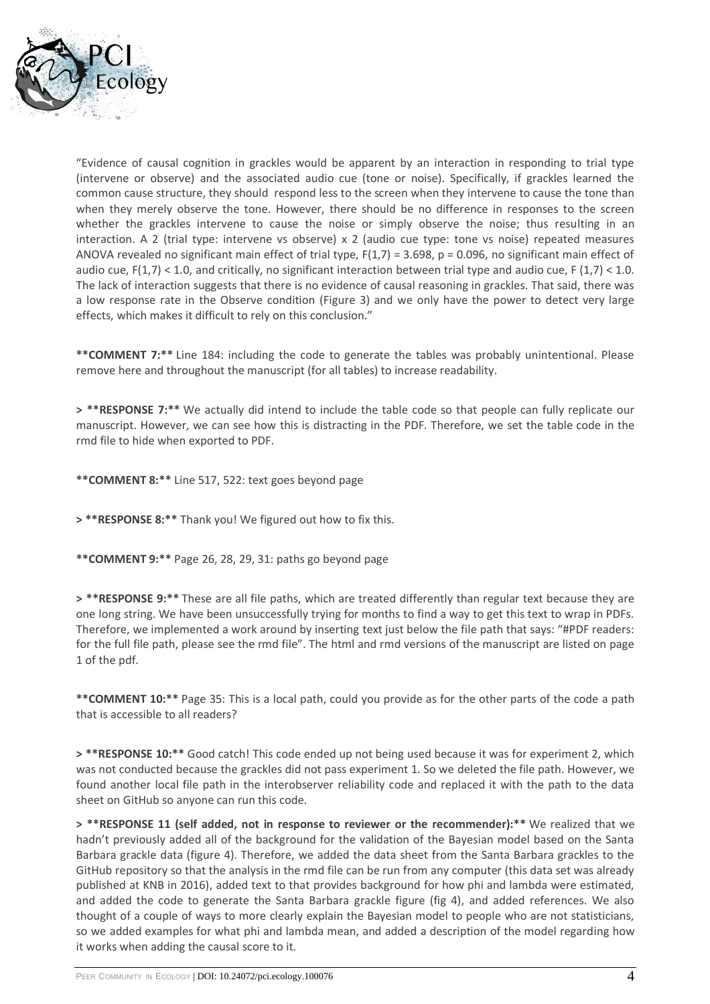

"Evidence of causal cognition in grackles would be apparent by an interaction in responding to trial type (intervene or observe) and the associated audio cue (tone or noise). Specifically, if grackles learned the common cause structure, they should respond less to the screen when they intervene to cause the tone than when they merely observe the tone. However, there should be no difference in responses to the screen whether the grackles intervene to cause the noise or simply observe the noise; thus resulting in an interaction. A 2 (trial type: intervene vs observe) x 2 (audio cue type: tone vs noise) repeated measures ANOVA revealed no significant main effect of trial type,  $F(1,7) = 3.698$ ,  $p = 0.096$ , no significant main effect of audio cue,  $F(1,7)$  < 1.0, and critically, no significant interaction between trial type and audio cue,  $F(1,7)$  < 1.0. The lack of interaction suggests that there is no evidence of causal reasoning in grackles. That said, there was a low response rate in the Observe condition (Figure 3) and we only have the power to detect very large effects, which makes it difficult to rely on this conclusion."

**\*\*COMMENT 7:\*\*** Line 184: including the code to generate the tables was probably unintentional. Please remove here and throughout the manuscript (for all tables) to increase readability.

**> \*\*RESPONSE 7:\*\*** We actually did intend to include the table code so that people can fully replicate our manuscript. However, we can see how this is distracting in the PDF. Therefore, we set the table code in the rmd file to hide when exported to PDF.

**\*\*COMMENT 8:\*\*** Line 517, 522: text goes beyond page

**> \*\*RESPONSE 8:\*\*** Thank you! We figured out how to fix this.

**\*\*COMMENT 9:\*\*** Page 26, 28, 29, 31: paths go beyond page

**> \*\*RESPONSE 9:\*\*** These are all file paths, which are treated differently than regular text because they are one long string. We have been unsuccessfully trying for months to find a way to get this text to wrap in PDFs. Therefore, we implemented a work around by inserting text just below the file path that says: "#PDF readers: for the full file path, please see the rmd file". The html and rmd versions of the manuscript are listed on page 1 of the pdf.

**\*\*COMMENT 10:\*\*** Page 35: This is a local path, could you provide as for the other parts of the code a path that is accessible to all readers?

**> \*\*RESPONSE 10:\*\*** Good catch! This code ended up not being used because it was for experiment 2, which was not conducted because the grackles did not pass experiment 1. So we deleted the file path. However, we found another local file path in the interobserver reliability code and replaced it with the path to the data sheet on GitHub so anyone can run this code.

**> \*\*RESPONSE 11 (self added, not in response to reviewer or the recommender):\*\*** We realized that we hadn't previously added all of the background for the validation of the Bayesian model based on the Santa Barbara grackle data (figure 4). Therefore, we added the data sheet from the Santa Barbara grackles to the GitHub repository so that the analysis in the rmd file can be run from any computer (this data set was already published at KNB in 2016), added text to that provides background for how phi and lambda were estimated, and added the code to generate the Santa Barbara grackle figure (fig 4), and added references. We also thought of a couple of ways to more clearly explain the Bayesian model to people who are not statisticians, so we added examples for what phi and lambda mean, and added a description of the model regarding how it works when adding the causal score to it.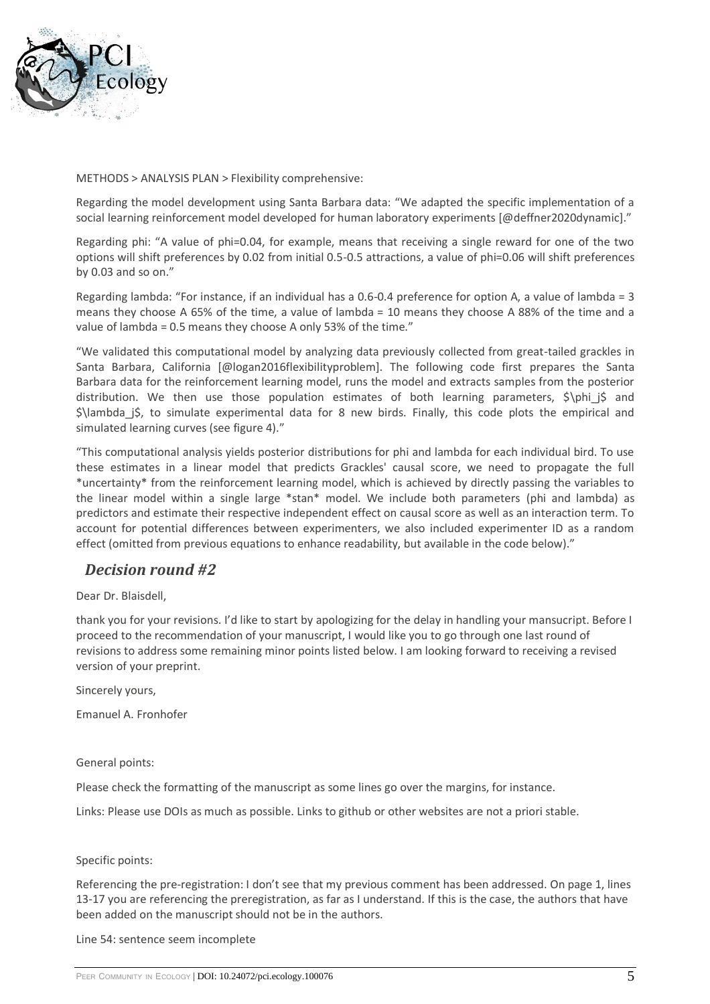

METHODS > ANALYSIS PLAN > Flexibility comprehensive:

Regarding the model development using Santa Barbara data: "We adapted the specific implementation of a social learning reinforcement model developed for human laboratory experiments [@deffner2020dynamic]."

Regarding phi: "A value of phi=0.04, for example, means that receiving a single reward for one of the two options will shift preferences by 0.02 from initial 0.5-0.5 attractions, a value of phi=0.06 will shift preferences by 0.03 and so on."

Regarding lambda: "For instance, if an individual has a 0.6-0.4 preference for option A, a value of lambda = 3 means they choose A 65% of the time, a value of lambda = 10 means they choose A 88% of the time and a value of lambda = 0.5 means they choose A only 53% of the time."

"We validated this computational model by analyzing data previously collected from great-tailed grackles in Santa Barbara, California [@logan2016flexibilityproblem]. The following code first prepares the Santa Barbara data for the reinforcement learning model, runs the model and extracts samples from the posterior distribution. We then use those population estimates of both learning parameters, \$\phi j\$ and \$\lambda\_j\$, to simulate experimental data for 8 new birds. Finally, this code plots the empirical and simulated learning curves (see figure 4)."

"This computational analysis yields posterior distributions for phi and lambda for each individual bird. To use these estimates in a linear model that predicts Grackles' causal score, we need to propagate the full \*uncertainty\* from the reinforcement learning model, which is achieved by directly passing the variables to the linear model within a single large \*stan\* model. We include both parameters (phi and lambda) as predictors and estimate their respective independent effect on causal score as well as an interaction term. To account for potential differences between experimenters, we also included experimenter ID as a random effect (omitted from previous equations to enhance readability, but available in the code below)."

## *Decision round #2*

Dear Dr. Blaisdell,

thank you for your revisions. I'd like to start by apologizing for the delay in handling your mansucript. Before I proceed to the recommendation of your manuscript, I would like you to go through one last round of revisions to address some remaining minor points listed below. I am looking forward to receiving a revised version of your preprint.

Sincerely yours,

Emanuel A. Fronhofer

General points:

Please check the formatting of the manuscript as some lines go over the margins, for instance.

Links: Please use DOIs as much as possible. Links to github or other websites are not a priori stable.

#### Specific points:

Referencing the pre-registration: I don't see that my previous comment has been addressed. On page 1, lines 13-17 you are referencing the preregistration, as far as I understand. If this is the case, the authors that have been added on the manuscript should not be in the authors.

Line 54: sentence seem incomplete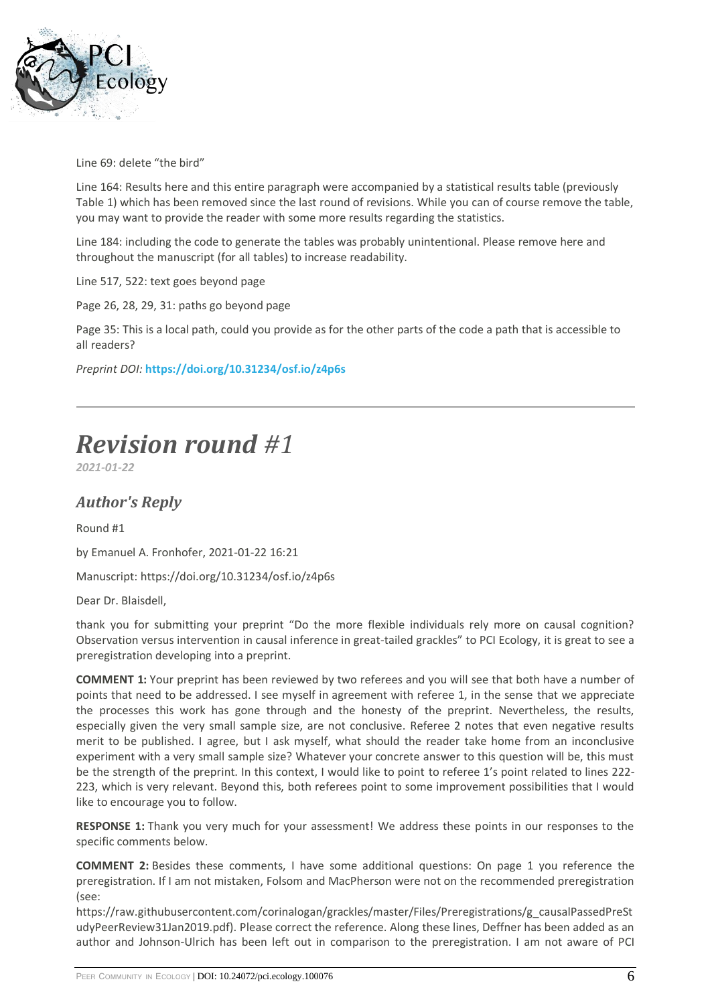

Line 69: delete "the bird"

Line 164: Results here and this entire paragraph were accompanied by a statistical results table (previously Table 1) which has been removed since the last round of revisions. While you can of course remove the table, you may want to provide the reader with some more results regarding the statistics.

Line 184: including the code to generate the tables was probably unintentional. Please remove here and throughout the manuscript (for all tables) to increase readability.

Line 517, 522: text goes beyond page

Page 26, 28, 29, 31: paths go beyond page

Page 35: This is a local path, could you provide as for the other parts of the code a path that is accessible to all readers?

*Preprint DOI:* **<https://doi.org/10.31234/osf.io/z4p6s>**

# *Revision round #1*

*2021-01-22*

### *Author's Reply*

Round #1

by Emanuel A. Fronhofer, 2021-01-22 16:21

Manuscript: https://doi.org/10.31234/osf.io/z4p6s

Dear Dr. Blaisdell,

thank you for submitting your preprint "Do the more flexible individuals rely more on causal cognition? Observation versus intervention in causal inference in great-tailed grackles" to PCI Ecology, it is great to see a preregistration developing into a preprint.

**COMMENT 1:** Your preprint has been reviewed by two referees and you will see that both have a number of points that need to be addressed. I see myself in agreement with referee 1, in the sense that we appreciate the processes this work has gone through and the honesty of the preprint. Nevertheless, the results, especially given the very small sample size, are not conclusive. Referee 2 notes that even negative results merit to be published. I agree, but I ask myself, what should the reader take home from an inconclusive experiment with a very small sample size? Whatever your concrete answer to this question will be, this must be the strength of the preprint. In this context, I would like to point to referee 1's point related to lines 222- 223, which is very relevant. Beyond this, both referees point to some improvement possibilities that I would like to encourage you to follow.

**RESPONSE 1:** Thank you very much for your assessment! We address these points in our responses to the specific comments below.

**COMMENT 2:** Besides these comments, I have some additional questions: On page 1 you reference the preregistration. If I am not mistaken, Folsom and MacPherson were not on the recommended preregistration (see:

https://raw.githubusercontent.com/corinalogan/grackles/master/Files/Preregistrations/g\_causalPassedPreSt udyPeerReview31Jan2019.pdf). Please correct the reference. Along these lines, Deffner has been added as an author and Johnson-Ulrich has been left out in comparison to the preregistration. I am not aware of PCI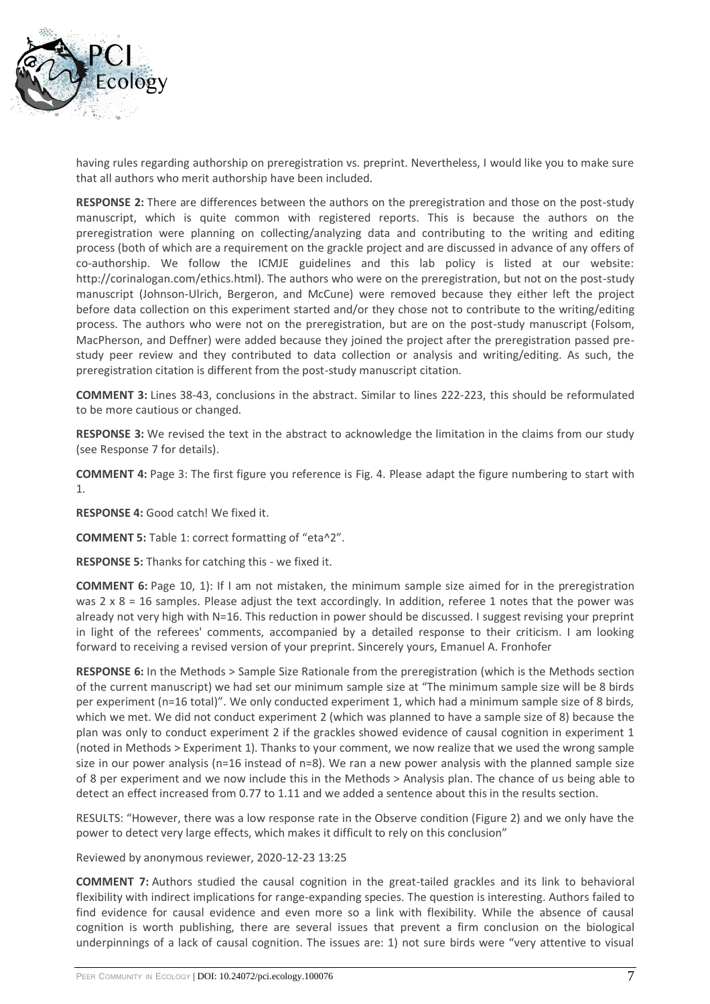

having rules regarding authorship on preregistration vs. preprint. Nevertheless, I would like you to make sure that all authors who merit authorship have been included.

**RESPONSE 2:** There are differences between the authors on the preregistration and those on the post-study manuscript, which is quite common with registered reports. This is because the authors on the preregistration were planning on collecting/analyzing data and contributing to the writing and editing process (both of which are a requirement on the grackle project and are discussed in advance of any offers of co-authorship. We follow the ICMJE guidelines and this lab policy is listed at our website: http://corinalogan.com/ethics.html). The authors who were on the preregistration, but not on the post-study manuscript (Johnson-Ulrich, Bergeron, and McCune) were removed because they either left the project before data collection on this experiment started and/or they chose not to contribute to the writing/editing process. The authors who were not on the preregistration, but are on the post-study manuscript (Folsom, MacPherson, and Deffner) were added because they joined the project after the preregistration passed prestudy peer review and they contributed to data collection or analysis and writing/editing. As such, the preregistration citation is different from the post-study manuscript citation.

**COMMENT 3:** Lines 38-43, conclusions in the abstract. Similar to lines 222-223, this should be reformulated to be more cautious or changed.

**RESPONSE 3:** We revised the text in the abstract to acknowledge the limitation in the claims from our study (see Response 7 for details).

**COMMENT 4:** Page 3: The first figure you reference is Fig. 4. Please adapt the figure numbering to start with 1.

**RESPONSE 4:** Good catch! We fixed it.

**COMMENT 5:** Table 1: correct formatting of "eta^2".

**RESPONSE 5:** Thanks for catching this - we fixed it.

**COMMENT 6:** Page 10, 1): If I am not mistaken, the minimum sample size aimed for in the preregistration was  $2 \times 8 = 16$  samples. Please adjust the text accordingly. In addition, referee 1 notes that the power was already not very high with N=16. This reduction in power should be discussed. I suggest revising your preprint in light of the referees' comments, accompanied by a detailed response to their criticism. I am looking forward to receiving a revised version of your preprint. Sincerely yours, Emanuel A. Fronhofer

**RESPONSE 6:** In the Methods > Sample Size Rationale from the preregistration (which is the Methods section of the current manuscript) we had set our minimum sample size at "The minimum sample size will be 8 birds per experiment (n=16 total)". We only conducted experiment 1, which had a minimum sample size of 8 birds, which we met. We did not conduct experiment 2 (which was planned to have a sample size of 8) because the plan was only to conduct experiment 2 if the grackles showed evidence of causal cognition in experiment 1 (noted in Methods > Experiment 1). Thanks to your comment, we now realize that we used the wrong sample size in our power analysis (n=16 instead of n=8). We ran a new power analysis with the planned sample size of 8 per experiment and we now include this in the Methods > Analysis plan. The chance of us being able to detect an effect increased from 0.77 to 1.11 and we added a sentence about this in the results section.

RESULTS: "However, there was a low response rate in the Observe condition (Figure 2) and we only have the power to detect very large effects, which makes it difficult to rely on this conclusion"

Reviewed by anonymous reviewer, 2020-12-23 13:25

**COMMENT 7:** Authors studied the causal cognition in the great-tailed grackles and its link to behavioral flexibility with indirect implications for range-expanding species. The question is interesting. Authors failed to find evidence for causal evidence and even more so a link with flexibility. While the absence of causal cognition is worth publishing, there are several issues that prevent a firm conclusion on the biological underpinnings of a lack of causal cognition. The issues are: 1) not sure birds were "very attentive to visual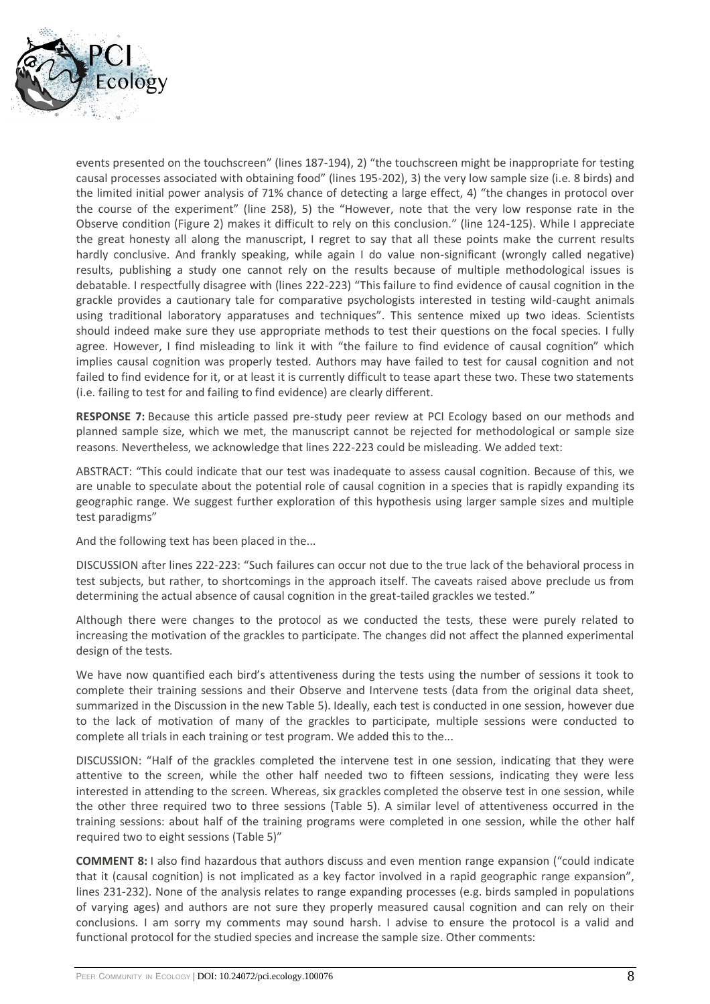

events presented on the touchscreen" (lines 187-194), 2) "the touchscreen might be inappropriate for testing causal processes associated with obtaining food" (lines 195-202), 3) the very low sample size (i.e. 8 birds) and the limited initial power analysis of 71% chance of detecting a large effect, 4) "the changes in protocol over the course of the experiment" (line 258), 5) the "However, note that the very low response rate in the Observe condition (Figure 2) makes it difficult to rely on this conclusion." (line 124-125). While I appreciate the great honesty all along the manuscript, I regret to say that all these points make the current results hardly conclusive. And frankly speaking, while again I do value non-significant (wrongly called negative) results, publishing a study one cannot rely on the results because of multiple methodological issues is debatable. I respectfully disagree with (lines 222-223) "This failure to find evidence of causal cognition in the grackle provides a cautionary tale for comparative psychologists interested in testing wild-caught animals using traditional laboratory apparatuses and techniques". This sentence mixed up two ideas. Scientists should indeed make sure they use appropriate methods to test their questions on the focal species. I fully agree. However, I find misleading to link it with "the failure to find evidence of causal cognition" which implies causal cognition was properly tested. Authors may have failed to test for causal cognition and not failed to find evidence for it, or at least it is currently difficult to tease apart these two. These two statements (i.e. failing to test for and failing to find evidence) are clearly different.

**RESPONSE 7:** Because this article passed pre-study peer review at PCI Ecology based on our methods and planned sample size, which we met, the manuscript cannot be rejected for methodological or sample size reasons. Nevertheless, we acknowledge that lines 222-223 could be misleading. We added text:

ABSTRACT: "This could indicate that our test was inadequate to assess causal cognition. Because of this, we are unable to speculate about the potential role of causal cognition in a species that is rapidly expanding its geographic range. We suggest further exploration of this hypothesis using larger sample sizes and multiple test paradigms"

And the following text has been placed in the...

DISCUSSION after lines 222-223: "Such failures can occur not due to the true lack of the behavioral process in test subjects, but rather, to shortcomings in the approach itself. The caveats raised above preclude us from determining the actual absence of causal cognition in the great-tailed grackles we tested."

Although there were changes to the protocol as we conducted the tests, these were purely related to increasing the motivation of the grackles to participate. The changes did not affect the planned experimental design of the tests.

We have now quantified each bird's attentiveness during the tests using the number of sessions it took to complete their training sessions and their Observe and Intervene tests (data from the original data sheet, summarized in the Discussion in the new Table 5). Ideally, each test is conducted in one session, however due to the lack of motivation of many of the grackles to participate, multiple sessions were conducted to complete all trials in each training or test program. We added this to the...

DISCUSSION: "Half of the grackles completed the intervene test in one session, indicating that they were attentive to the screen, while the other half needed two to fifteen sessions, indicating they were less interested in attending to the screen. Whereas, six grackles completed the observe test in one session, while the other three required two to three sessions (Table 5). A similar level of attentiveness occurred in the training sessions: about half of the training programs were completed in one session, while the other half required two to eight sessions (Table 5)"

**COMMENT 8:** I also find hazardous that authors discuss and even mention range expansion ("could indicate that it (causal cognition) is not implicated as a key factor involved in a rapid geographic range expansion", lines 231-232). None of the analysis relates to range expanding processes (e.g. birds sampled in populations of varying ages) and authors are not sure they properly measured causal cognition and can rely on their conclusions. I am sorry my comments may sound harsh. I advise to ensure the protocol is a valid and functional protocol for the studied species and increase the sample size. Other comments: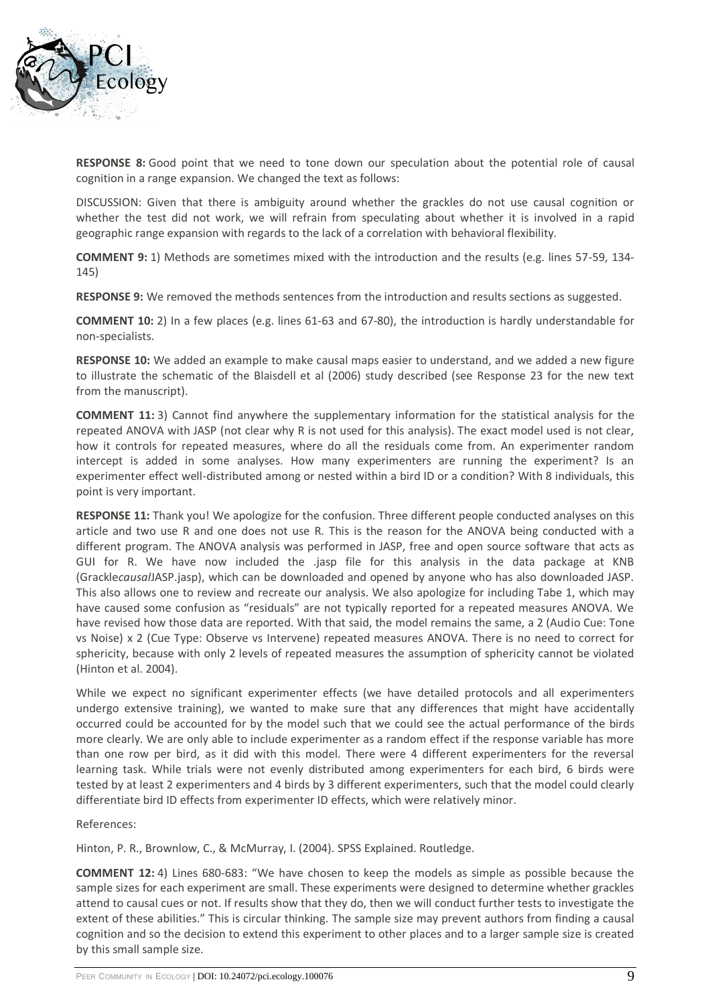

**RESPONSE 8:** Good point that we need to tone down our speculation about the potential role of causal cognition in a range expansion. We changed the text as follows:

DISCUSSION: Given that there is ambiguity around whether the grackles do not use causal cognition or whether the test did not work, we will refrain from speculating about whether it is involved in a rapid geographic range expansion with regards to the lack of a correlation with behavioral flexibility.

**COMMENT 9:** 1) Methods are sometimes mixed with the introduction and the results (e.g. lines 57-59, 134- 145)

**RESPONSE 9:** We removed the methods sentences from the introduction and results sections as suggested.

**COMMENT 10:** 2) In a few places (e.g. lines 61-63 and 67-80), the introduction is hardly understandable for non-specialists.

**RESPONSE 10:** We added an example to make causal maps easier to understand, and we added a new figure to illustrate the schematic of the Blaisdell et al (2006) study described (see Response 23 for the new text from the manuscript).

**COMMENT 11:** 3) Cannot find anywhere the supplementary information for the statistical analysis for the repeated ANOVA with JASP (not clear why R is not used for this analysis). The exact model used is not clear, how it controls for repeated measures, where do all the residuals come from. An experimenter random intercept is added in some analyses. How many experimenters are running the experiment? Is an experimenter effect well-distributed among or nested within a bird ID or a condition? With 8 individuals, this point is very important.

**RESPONSE 11:** Thank you! We apologize for the confusion. Three different people conducted analyses on this article and two use R and one does not use R. This is the reason for the ANOVA being conducted with a different program. The ANOVA analysis was performed in JASP, free and open source software that acts as GUI for R. We have now included the .jasp file for this analysis in the data package at KNB (Grackle*causal*JASP.jasp), which can be downloaded and opened by anyone who has also downloaded JASP. This also allows one to review and recreate our analysis. We also apologize for including Tabe 1, which may have caused some confusion as "residuals" are not typically reported for a repeated measures ANOVA. We have revised how those data are reported. With that said, the model remains the same, a 2 (Audio Cue: Tone vs Noise) x 2 (Cue Type: Observe vs Intervene) repeated measures ANOVA. There is no need to correct for sphericity, because with only 2 levels of repeated measures the assumption of sphericity cannot be violated (Hinton et al. 2004).

While we expect no significant experimenter effects (we have detailed protocols and all experimenters undergo extensive training), we wanted to make sure that any differences that might have accidentally occurred could be accounted for by the model such that we could see the actual performance of the birds more clearly. We are only able to include experimenter as a random effect if the response variable has more than one row per bird, as it did with this model. There were 4 different experimenters for the reversal learning task. While trials were not evenly distributed among experimenters for each bird, 6 birds were tested by at least 2 experimenters and 4 birds by 3 different experimenters, such that the model could clearly differentiate bird ID effects from experimenter ID effects, which were relatively minor.

#### References:

Hinton, P. R., Brownlow, C., & McMurray, I. (2004). SPSS Explained. Routledge.

**COMMENT 12:** 4) Lines 680-683: "We have chosen to keep the models as simple as possible because the sample sizes for each experiment are small. These experiments were designed to determine whether grackles attend to causal cues or not. If results show that they do, then we will conduct further tests to investigate the extent of these abilities." This is circular thinking. The sample size may prevent authors from finding a causal cognition and so the decision to extend this experiment to other places and to a larger sample size is created by this small sample size.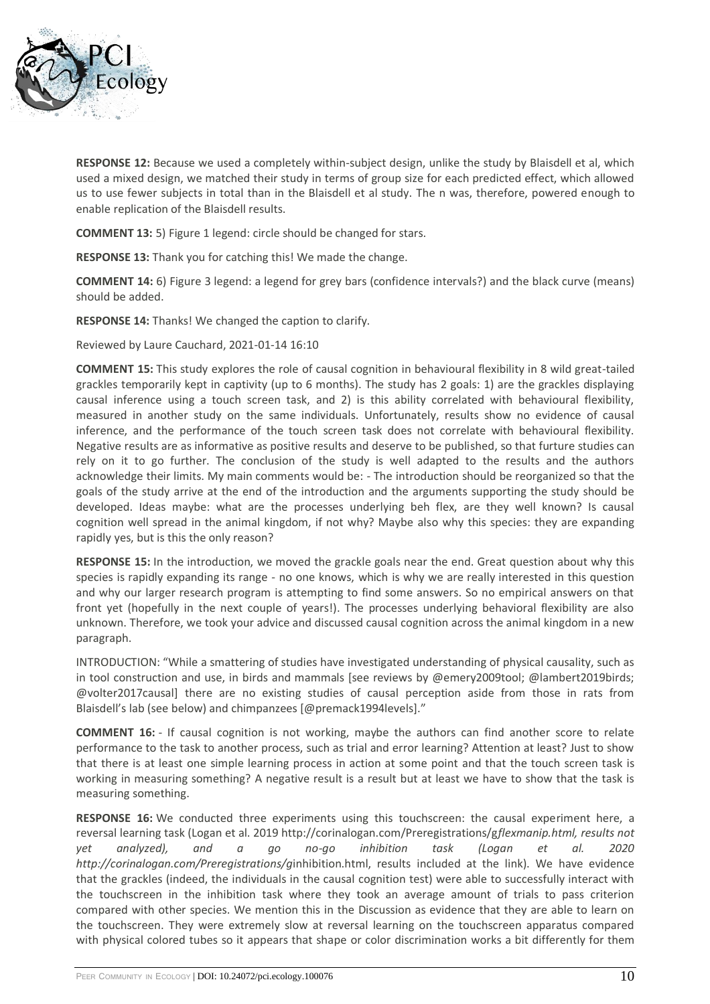

**RESPONSE 12:** Because we used a completely within-subject design, unlike the study by Blaisdell et al, which used a mixed design, we matched their study in terms of group size for each predicted effect, which allowed us to use fewer subjects in total than in the Blaisdell et al study. The n was, therefore, powered enough to enable replication of the Blaisdell results.

**COMMENT 13:** 5) Figure 1 legend: circle should be changed for stars.

**RESPONSE 13:** Thank you for catching this! We made the change.

**COMMENT 14:** 6) Figure 3 legend: a legend for grey bars (confidence intervals?) and the black curve (means) should be added.

**RESPONSE 14:** Thanks! We changed the caption to clarify.

Reviewed by Laure Cauchard, 2021-01-14 16:10

**COMMENT 15:** This study explores the role of causal cognition in behavioural flexibility in 8 wild great-tailed grackles temporarily kept in captivity (up to 6 months). The study has 2 goals: 1) are the grackles displaying causal inference using a touch screen task, and 2) is this ability correlated with behavioural flexibility, measured in another study on the same individuals. Unfortunately, results show no evidence of causal inference, and the performance of the touch screen task does not correlate with behavioural flexibility. Negative results are as informative as positive results and deserve to be published, so that furture studies can rely on it to go further. The conclusion of the study is well adapted to the results and the authors acknowledge their limits. My main comments would be: - The introduction should be reorganized so that the goals of the study arrive at the end of the introduction and the arguments supporting the study should be developed. Ideas maybe: what are the processes underlying beh flex, are they well known? Is causal cognition well spread in the animal kingdom, if not why? Maybe also why this species: they are expanding rapidly yes, but is this the only reason?

**RESPONSE 15:** In the introduction, we moved the grackle goals near the end. Great question about why this species is rapidly expanding its range - no one knows, which is why we are really interested in this question and why our larger research program is attempting to find some answers. So no empirical answers on that front yet (hopefully in the next couple of years!). The processes underlying behavioral flexibility are also unknown. Therefore, we took your advice and discussed causal cognition across the animal kingdom in a new paragraph.

INTRODUCTION: "While a smattering of studies have investigated understanding of physical causality, such as in tool construction and use, in birds and mammals [see reviews by @emery2009tool; @lambert2019birds; @volter2017causal] there are no existing studies of causal perception aside from those in rats from Blaisdell's lab (see below) and chimpanzees [@premack1994levels]."

**COMMENT 16:** - If causal cognition is not working, maybe the authors can find another score to relate performance to the task to another process, such as trial and error learning? Attention at least? Just to show that there is at least one simple learning process in action at some point and that the touch screen task is working in measuring something? A negative result is a result but at least we have to show that the task is measuring something.

**RESPONSE 16:** We conducted three experiments using this touchscreen: the causal experiment here, a reversal learning task (Logan et al. 2019 http://corinalogan.com/Preregistrations/g*flexmanip.html, results not yet analyzed), and a go no-go inhibition task (Logan et al. 2020 http://corinalogan.com/Preregistrations/g*inhibition.html, results included at the link). We have evidence that the grackles (indeed, the individuals in the causal cognition test) were able to successfully interact with the touchscreen in the inhibition task where they took an average amount of trials to pass criterion compared with other species. We mention this in the Discussion as evidence that they are able to learn on the touchscreen. They were extremely slow at reversal learning on the touchscreen apparatus compared with physical colored tubes so it appears that shape or color discrimination works a bit differently for them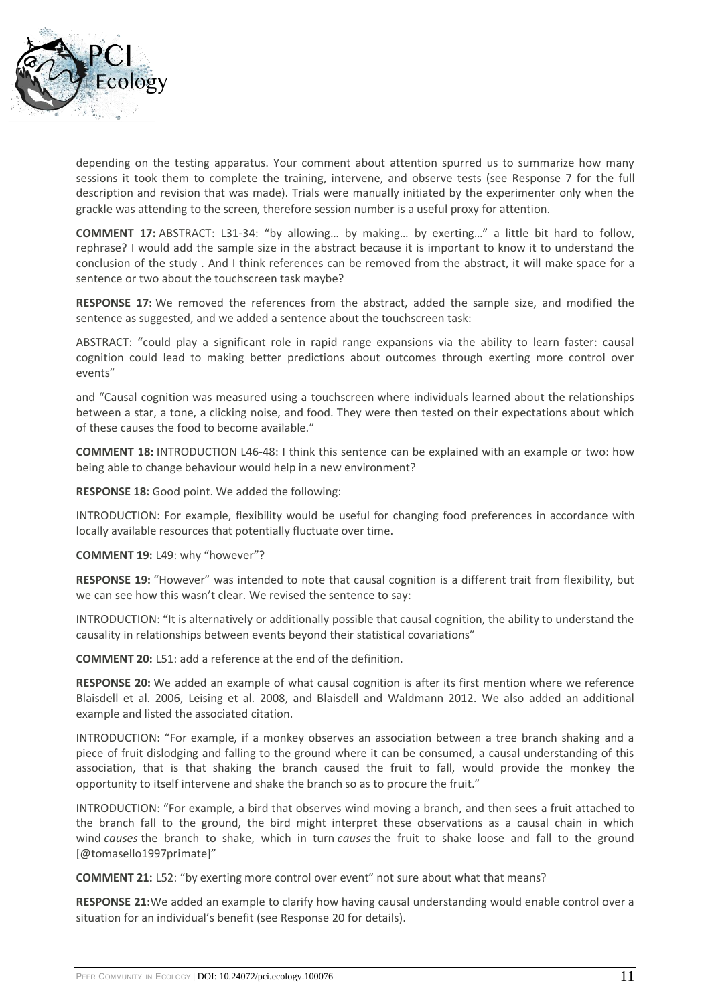

depending on the testing apparatus. Your comment about attention spurred us to summarize how many sessions it took them to complete the training, intervene, and observe tests (see Response 7 for the full description and revision that was made). Trials were manually initiated by the experimenter only when the grackle was attending to the screen, therefore session number is a useful proxy for attention.

**COMMENT 17:** ABSTRACT: L31-34: "by allowing… by making… by exerting…" a little bit hard to follow, rephrase? I would add the sample size in the abstract because it is important to know it to understand the conclusion of the study . And I think references can be removed from the abstract, it will make space for a sentence or two about the touchscreen task maybe?

**RESPONSE 17:** We removed the references from the abstract, added the sample size, and modified the sentence as suggested, and we added a sentence about the touchscreen task:

ABSTRACT: "could play a significant role in rapid range expansions via the ability to learn faster: causal cognition could lead to making better predictions about outcomes through exerting more control over events"

and "Causal cognition was measured using a touchscreen where individuals learned about the relationships between a star, a tone, a clicking noise, and food. They were then tested on their expectations about which of these causes the food to become available."

**COMMENT 18:** INTRODUCTION L46-48: I think this sentence can be explained with an example or two: how being able to change behaviour would help in a new environment?

**RESPONSE 18:** Good point. We added the following:

INTRODUCTION: For example, flexibility would be useful for changing food preferences in accordance with locally available resources that potentially fluctuate over time.

**COMMENT 19:** L49: why "however"?

**RESPONSE 19:** "However" was intended to note that causal cognition is a different trait from flexibility, but we can see how this wasn't clear. We revised the sentence to say:

INTRODUCTION: "It is alternatively or additionally possible that causal cognition, the ability to understand the causality in relationships between events beyond their statistical covariations"

**COMMENT 20:** L51: add a reference at the end of the definition.

**RESPONSE 20:** We added an example of what causal cognition is after its first mention where we reference Blaisdell et al. 2006, Leising et al. 2008, and Blaisdell and Waldmann 2012. We also added an additional example and listed the associated citation.

INTRODUCTION: "For example, if a monkey observes an association between a tree branch shaking and a piece of fruit dislodging and falling to the ground where it can be consumed, a causal understanding of this association, that is that shaking the branch caused the fruit to fall, would provide the monkey the opportunity to itself intervene and shake the branch so as to procure the fruit."

INTRODUCTION: "For example, a bird that observes wind moving a branch, and then sees a fruit attached to the branch fall to the ground, the bird might interpret these observations as a causal chain in which wind *causes* the branch to shake, which in turn *causes* the fruit to shake loose and fall to the ground [@tomasello1997primate]"

**COMMENT 21:** L52: "by exerting more control over event" not sure about what that means?

**RESPONSE 21:**We added an example to clarify how having causal understanding would enable control over a situation for an individual's benefit (see Response 20 for details).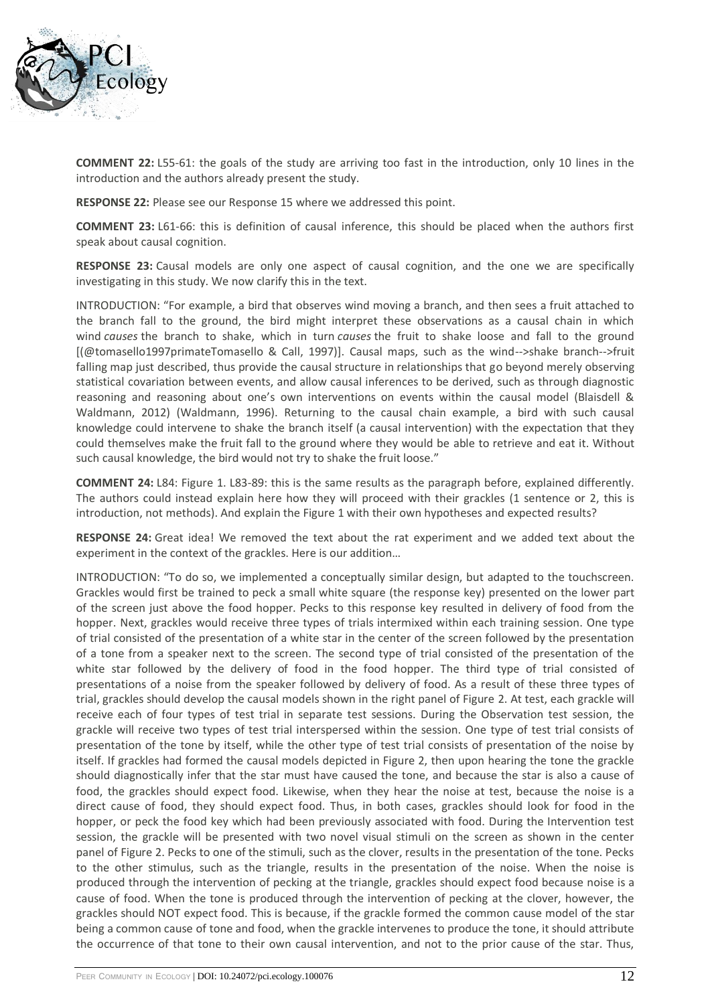

**COMMENT 22:** L55-61: the goals of the study are arriving too fast in the introduction, only 10 lines in the introduction and the authors already present the study.

**RESPONSE 22:** Please see our Response 15 where we addressed this point.

**COMMENT 23:** L61-66: this is definition of causal inference, this should be placed when the authors first speak about causal cognition.

**RESPONSE 23:** Causal models are only one aspect of causal cognition, and the one we are specifically investigating in this study. We now clarify this in the text.

INTRODUCTION: "For example, a bird that observes wind moving a branch, and then sees a fruit attached to the branch fall to the ground, the bird might interpret these observations as a causal chain in which wind *causes* the branch to shake, which in turn *causes* the fruit to shake loose and fall to the ground [(@tomasello1997primateTomasello & Call, 1997)]. Causal maps, such as the wind-->shake branch-->fruit falling map just described, thus provide the causal structure in relationships that go beyond merely observing statistical covariation between events, and allow causal inferences to be derived, such as through diagnostic reasoning and reasoning about one's own interventions on events within the causal model (Blaisdell & Waldmann, 2012) (Waldmann, 1996). Returning to the causal chain example, a bird with such causal knowledge could intervene to shake the branch itself (a causal intervention) with the expectation that they could themselves make the fruit fall to the ground where they would be able to retrieve and eat it. Without such causal knowledge, the bird would not try to shake the fruit loose."

**COMMENT 24:** L84: Figure 1. L83-89: this is the same results as the paragraph before, explained differently. The authors could instead explain here how they will proceed with their grackles (1 sentence or 2, this is introduction, not methods). And explain the Figure 1 with their own hypotheses and expected results?

**RESPONSE 24:** Great idea! We removed the text about the rat experiment and we added text about the experiment in the context of the grackles. Here is our addition…

INTRODUCTION: "To do so, we implemented a conceptually similar design, but adapted to the touchscreen. Grackles would first be trained to peck a small white square (the response key) presented on the lower part of the screen just above the food hopper. Pecks to this response key resulted in delivery of food from the hopper. Next, grackles would receive three types of trials intermixed within each training session. One type of trial consisted of the presentation of a white star in the center of the screen followed by the presentation of a tone from a speaker next to the screen. The second type of trial consisted of the presentation of the white star followed by the delivery of food in the food hopper. The third type of trial consisted of presentations of a noise from the speaker followed by delivery of food. As a result of these three types of trial, grackles should develop the causal models shown in the right panel of Figure 2. At test, each grackle will receive each of four types of test trial in separate test sessions. During the Observation test session, the grackle will receive two types of test trial interspersed within the session. One type of test trial consists of presentation of the tone by itself, while the other type of test trial consists of presentation of the noise by itself. If grackles had formed the causal models depicted in Figure 2, then upon hearing the tone the grackle should diagnostically infer that the star must have caused the tone, and because the star is also a cause of food, the grackles should expect food. Likewise, when they hear the noise at test, because the noise is a direct cause of food, they should expect food. Thus, in both cases, grackles should look for food in the hopper, or peck the food key which had been previously associated with food. During the Intervention test session, the grackle will be presented with two novel visual stimuli on the screen as shown in the center panel of Figure 2. Pecks to one of the stimuli, such as the clover, results in the presentation of the tone. Pecks to the other stimulus, such as the triangle, results in the presentation of the noise. When the noise is produced through the intervention of pecking at the triangle, grackles should expect food because noise is a cause of food. When the tone is produced through the intervention of pecking at the clover, however, the grackles should NOT expect food. This is because, if the grackle formed the common cause model of the star being a common cause of tone and food, when the grackle intervenes to produce the tone, it should attribute the occurrence of that tone to their own causal intervention, and not to the prior cause of the star. Thus,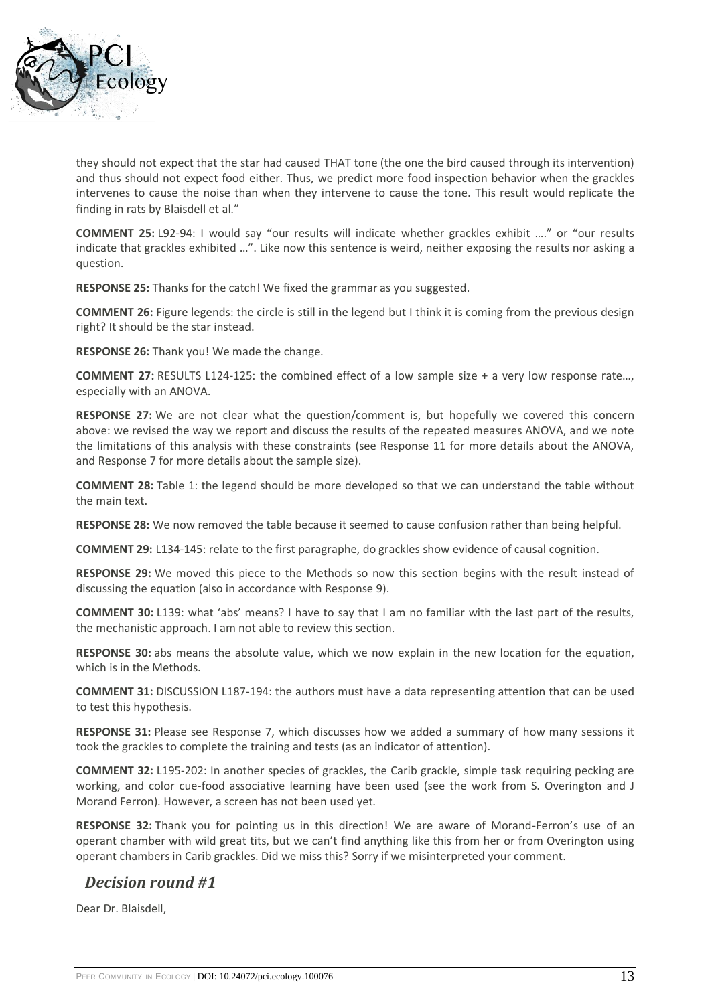

they should not expect that the star had caused THAT tone (the one the bird caused through its intervention) and thus should not expect food either. Thus, we predict more food inspection behavior when the grackles intervenes to cause the noise than when they intervene to cause the tone. This result would replicate the finding in rats by Blaisdell et al."

**COMMENT 25:** L92-94: I would say "our results will indicate whether grackles exhibit …." or "our results indicate that grackles exhibited …". Like now this sentence is weird, neither exposing the results nor asking a question.

**RESPONSE 25:** Thanks for the catch! We fixed the grammar as you suggested.

**COMMENT 26:** Figure legends: the circle is still in the legend but I think it is coming from the previous design right? It should be the star instead.

**RESPONSE 26:** Thank you! We made the change.

**COMMENT 27:** RESULTS L124-125: the combined effect of a low sample size + a very low response rate…, especially with an ANOVA.

**RESPONSE 27:** We are not clear what the question/comment is, but hopefully we covered this concern above: we revised the way we report and discuss the results of the repeated measures ANOVA, and we note the limitations of this analysis with these constraints (see Response 11 for more details about the ANOVA, and Response 7 for more details about the sample size).

**COMMENT 28:** Table 1: the legend should be more developed so that we can understand the table without the main text.

**RESPONSE 28:** We now removed the table because it seemed to cause confusion rather than being helpful.

**COMMENT 29:** L134-145: relate to the first paragraphe, do grackles show evidence of causal cognition.

**RESPONSE 29:** We moved this piece to the Methods so now this section begins with the result instead of discussing the equation (also in accordance with Response 9).

**COMMENT 30:** L139: what 'abs' means? I have to say that I am no familiar with the last part of the results, the mechanistic approach. I am not able to review this section.

**RESPONSE 30:** abs means the absolute value, which we now explain in the new location for the equation, which is in the Methods.

**COMMENT 31:** DISCUSSION L187-194: the authors must have a data representing attention that can be used to test this hypothesis.

**RESPONSE 31:** Please see Response 7, which discusses how we added a summary of how many sessions it took the grackles to complete the training and tests (as an indicator of attention).

**COMMENT 32:** L195-202: In another species of grackles, the Carib grackle, simple task requiring pecking are working, and color cue-food associative learning have been used (see the work from S. Overington and J Morand Ferron). However, a screen has not been used yet.

**RESPONSE 32:** Thank you for pointing us in this direction! We are aware of Morand-Ferron's use of an operant chamber with wild great tits, but we can't find anything like this from her or from Overington using operant chambers in Carib grackles. Did we miss this? Sorry if we misinterpreted your comment.

## *Decision round #1*

Dear Dr. Blaisdell,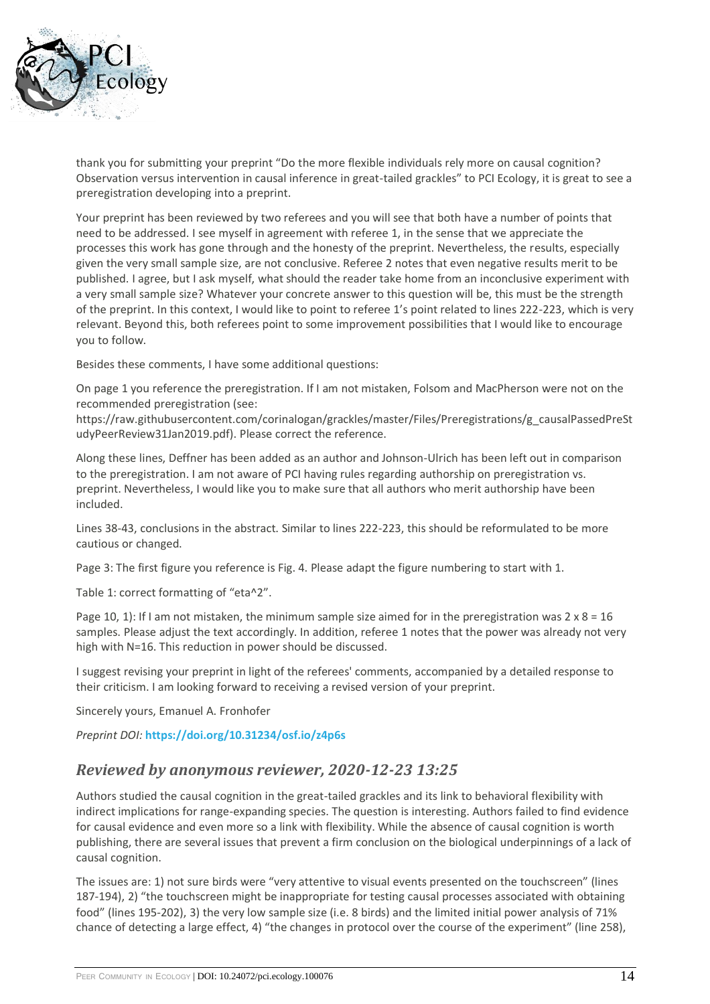

thank you for submitting your preprint "Do the more flexible individuals rely more on causal cognition? Observation versus intervention in causal inference in great-tailed grackles" to PCI Ecology, it is great to see a preregistration developing into a preprint.

Your preprint has been reviewed by two referees and you will see that both have a number of points that need to be addressed. I see myself in agreement with referee 1, in the sense that we appreciate the processes this work has gone through and the honesty of the preprint. Nevertheless, the results, especially given the very small sample size, are not conclusive. Referee 2 notes that even negative results merit to be published. I agree, but I ask myself, what should the reader take home from an inconclusive experiment with a very small sample size? Whatever your concrete answer to this question will be, this must be the strength of the preprint. In this context, I would like to point to referee 1's point related to lines 222-223, which is very relevant. Beyond this, both referees point to some improvement possibilities that I would like to encourage you to follow.

Besides these comments, I have some additional questions:

On page 1 you reference the preregistration. If I am not mistaken, Folsom and MacPherson were not on the recommended preregistration (see:

https://raw.githubusercontent.com/corinalogan/grackles/master/Files/Preregistrations/g\_causalPassedPreSt udyPeerReview31Jan2019.pdf). Please correct the reference.

Along these lines, Deffner has been added as an author and Johnson-Ulrich has been left out in comparison to the preregistration. I am not aware of PCI having rules regarding authorship on preregistration vs. preprint. Nevertheless, I would like you to make sure that all authors who merit authorship have been included.

Lines 38-43, conclusions in the abstract. Similar to lines 222-223, this should be reformulated to be more cautious or changed.

Page 3: The first figure you reference is Fig. 4. Please adapt the figure numbering to start with 1.

Table 1: correct formatting of "eta^2".

Page 10, 1): If I am not mistaken, the minimum sample size aimed for in the preregistration was  $2 \times 8 = 16$ samples. Please adjust the text accordingly. In addition, referee 1 notes that the power was already not very high with N=16. This reduction in power should be discussed.

I suggest revising your preprint in light of the referees' comments, accompanied by a detailed response to their criticism. I am looking forward to receiving a revised version of your preprint.

Sincerely yours, Emanuel A. Fronhofer

*Preprint DOI:* **<https://doi.org/10.31234/osf.io/z4p6s>**

### *Reviewed by anonymous reviewer, 2020-12-23 13:25*

Authors studied the causal cognition in the great-tailed grackles and its link to behavioral flexibility with indirect implications for range-expanding species. The question is interesting. Authors failed to find evidence for causal evidence and even more so a link with flexibility. While the absence of causal cognition is worth publishing, there are several issues that prevent a firm conclusion on the biological underpinnings of a lack of causal cognition.

The issues are: 1) not sure birds were "very attentive to visual events presented on the touchscreen" (lines 187-194), 2) "the touchscreen might be inappropriate for testing causal processes associated with obtaining food" (lines 195-202), 3) the very low sample size (i.e. 8 birds) and the limited initial power analysis of 71% chance of detecting a large effect, 4) "the changes in protocol over the course of the experiment" (line 258),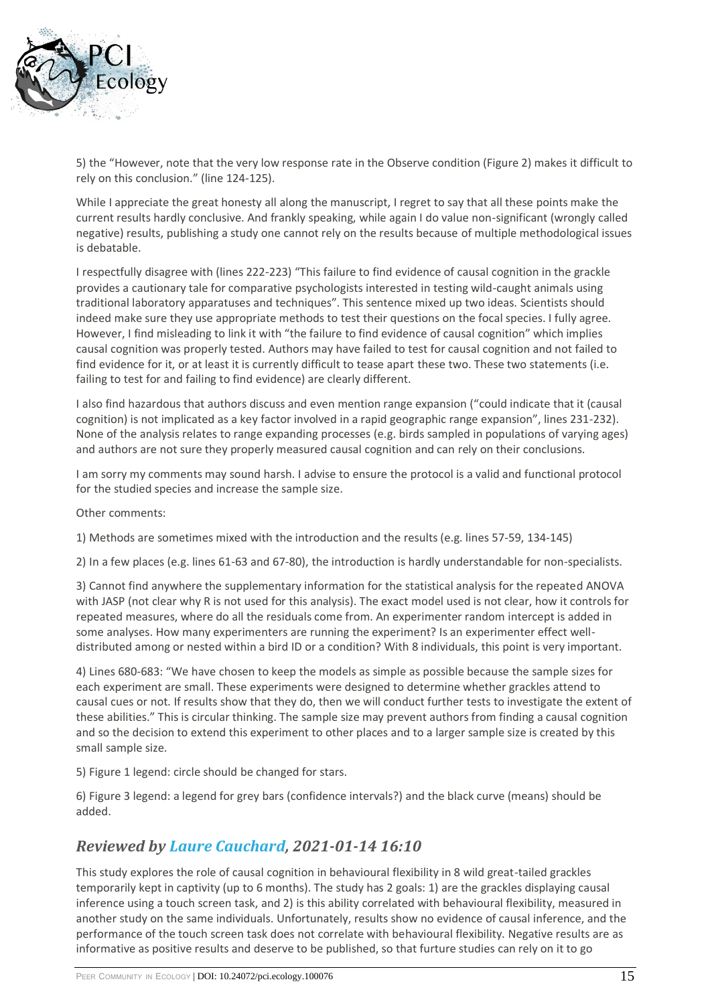

5) the "However, note that the very low response rate in the Observe condition (Figure 2) makes it difficult to rely on this conclusion." (line 124-125).

While I appreciate the great honesty all along the manuscript, I regret to say that all these points make the current results hardly conclusive. And frankly speaking, while again I do value non-significant (wrongly called negative) results, publishing a study one cannot rely on the results because of multiple methodological issues is debatable.

I respectfully disagree with (lines 222-223) "This failure to find evidence of causal cognition in the grackle provides a cautionary tale for comparative psychologists interested in testing wild-caught animals using traditional laboratory apparatuses and techniques". This sentence mixed up two ideas. Scientists should indeed make sure they use appropriate methods to test their questions on the focal species. I fully agree. However, I find misleading to link it with "the failure to find evidence of causal cognition" which implies causal cognition was properly tested. Authors may have failed to test for causal cognition and not failed to find evidence for it, or at least it is currently difficult to tease apart these two. These two statements (i.e. failing to test for and failing to find evidence) are clearly different.

I also find hazardous that authors discuss and even mention range expansion ("could indicate that it (causal cognition) is not implicated as a key factor involved in a rapid geographic range expansion", lines 231-232). None of the analysis relates to range expanding processes (e.g. birds sampled in populations of varying ages) and authors are not sure they properly measured causal cognition and can rely on their conclusions.

I am sorry my comments may sound harsh. I advise to ensure the protocol is a valid and functional protocol for the studied species and increase the sample size.

Other comments:

1) Methods are sometimes mixed with the introduction and the results (e.g. lines 57-59, 134-145)

2) In a few places (e.g. lines 61-63 and 67-80), the introduction is hardly understandable for non-specialists.

3) Cannot find anywhere the supplementary information for the statistical analysis for the repeated ANOVA with JASP (not clear why R is not used for this analysis). The exact model used is not clear, how it controls for repeated measures, where do all the residuals come from. An experimenter random intercept is added in some analyses. How many experimenters are running the experiment? Is an experimenter effect welldistributed among or nested within a bird ID or a condition? With 8 individuals, this point is very important.

4) Lines 680-683: "We have chosen to keep the models as simple as possible because the sample sizes for each experiment are small. These experiments were designed to determine whether grackles attend to causal cues or not. If results show that they do, then we will conduct further tests to investigate the extent of these abilities." This is circular thinking. The sample size may prevent authors from finding a causal cognition and so the decision to extend this experiment to other places and to a larger sample size is created by this small sample size.

5) Figure 1 legend: circle should be changed for stars.

6) Figure 3 legend: a legend for grey bars (confidence intervals?) and the black curve (means) should be added.

## *Reviewed by [Laure Cauchard,](https://ecology.peercommunityin.org/public/user_public_page?userId=1054) 2021-01-14 16:10*

This study explores the role of causal cognition in behavioural flexibility in 8 wild great-tailed grackles temporarily kept in captivity (up to 6 months). The study has 2 goals: 1) are the grackles displaying causal inference using a touch screen task, and 2) is this ability correlated with behavioural flexibility, measured in another study on the same individuals. Unfortunately, results show no evidence of causal inference, and the performance of the touch screen task does not correlate with behavioural flexibility. Negative results are as informative as positive results and deserve to be published, so that furture studies can rely on it to go